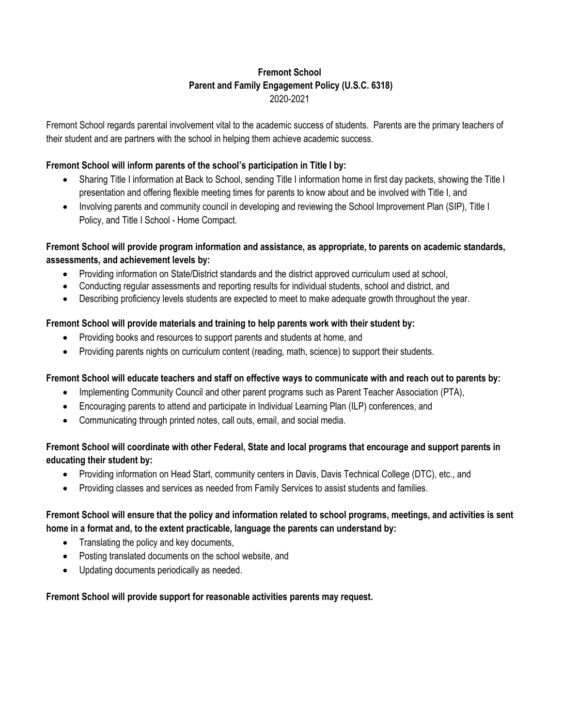# **Fremont School Parent and Family Engagement Policy (U.S.C. 6318)**  2020-2021

Fremont School regards parental involvement vital to the academic success of students. Parents are the primary teachers of their student and are partners with the school in helping them achieve academic success.

### **Fremont School will inform parents of the school's participation in Title I by:**

- Sharing Title I information at Back to School, sending Title I information home in first day packets, showing the Title I presentation and offering flexible meeting times for parents to know about and be involved with Title I, and
- Involving parents and community council in developing and reviewing the School Improvement Plan (SIP), Title I Policy, and Title I School - Home Compact.

# **Fremont School will provide program information and assistance, as appropriate, to parents on academic standards, assessments, and achievement levels by:**

- Providing information on State/District standards and the district approved curriculum used at school,
- Conducting regular assessments and reporting results for individual students, school and district, and
- Describing proficiency levels students are expected to meet to make adequate growth throughout the year.

### **Fremont School will provide materials and training to help parents work with their student by:**

- Providing books and resources to support parents and students at home, and
- Providing parents nights on curriculum content (reading, math, science) to support their students.

### **Fremont School will educate teachers and staff on effective ways to communicate with and reach out to parents by:**

- Implementing Community Council and other parent programs such as Parent Teacher Association (PTA),
- Encouraging parents to attend and participate in Individual Learning Plan (ILP) conferences, and
- Communicating through printed notes, call outs, email, and social media.

# **Fremont School will coordinate with other Federal, State and local programs that encourage and support parents in educating their student by:**

- Providing information on Head Start, community centers in Davis, Davis Technical College (DTC), etc., and
- Providing classes and services as needed from Family Services to assist students and families.

# **Fremont School will ensure that the policy and information related to school programs, meetings, and activities is sent home in a format and, to the extent practicable, language the parents can understand by:**

- Translating the policy and key documents,
- Posting translated documents on the school website, and
- Updating documents periodically as needed.

### **Fremont School will provide support for reasonable activities parents may request.**